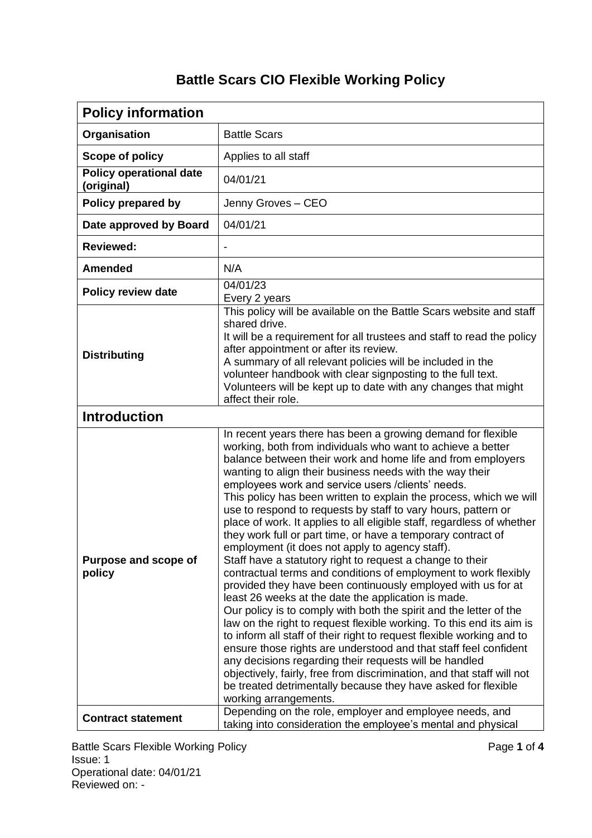## **Battle Scars CIO Flexible Working Policy**

| <b>Policy information</b>                    |                                                                                                                                                                                                                                                                                                                                                                                                                                                                                                                                                                                                                                                                                                                                                                                                                                                                                                                                                                                                                                                                                                                                                                                                                                                                                                                                                                                                                                  |  |
|----------------------------------------------|----------------------------------------------------------------------------------------------------------------------------------------------------------------------------------------------------------------------------------------------------------------------------------------------------------------------------------------------------------------------------------------------------------------------------------------------------------------------------------------------------------------------------------------------------------------------------------------------------------------------------------------------------------------------------------------------------------------------------------------------------------------------------------------------------------------------------------------------------------------------------------------------------------------------------------------------------------------------------------------------------------------------------------------------------------------------------------------------------------------------------------------------------------------------------------------------------------------------------------------------------------------------------------------------------------------------------------------------------------------------------------------------------------------------------------|--|
| Organisation                                 | <b>Battle Scars</b>                                                                                                                                                                                                                                                                                                                                                                                                                                                                                                                                                                                                                                                                                                                                                                                                                                                                                                                                                                                                                                                                                                                                                                                                                                                                                                                                                                                                              |  |
| Scope of policy                              | Applies to all staff                                                                                                                                                                                                                                                                                                                                                                                                                                                                                                                                                                                                                                                                                                                                                                                                                                                                                                                                                                                                                                                                                                                                                                                                                                                                                                                                                                                                             |  |
| <b>Policy operational date</b><br>(original) | 04/01/21                                                                                                                                                                                                                                                                                                                                                                                                                                                                                                                                                                                                                                                                                                                                                                                                                                                                                                                                                                                                                                                                                                                                                                                                                                                                                                                                                                                                                         |  |
| Policy prepared by                           | Jenny Groves - CEO                                                                                                                                                                                                                                                                                                                                                                                                                                                                                                                                                                                                                                                                                                                                                                                                                                                                                                                                                                                                                                                                                                                                                                                                                                                                                                                                                                                                               |  |
| Date approved by Board                       | 04/01/21                                                                                                                                                                                                                                                                                                                                                                                                                                                                                                                                                                                                                                                                                                                                                                                                                                                                                                                                                                                                                                                                                                                                                                                                                                                                                                                                                                                                                         |  |
| <b>Reviewed:</b>                             |                                                                                                                                                                                                                                                                                                                                                                                                                                                                                                                                                                                                                                                                                                                                                                                                                                                                                                                                                                                                                                                                                                                                                                                                                                                                                                                                                                                                                                  |  |
| <b>Amended</b>                               | N/A                                                                                                                                                                                                                                                                                                                                                                                                                                                                                                                                                                                                                                                                                                                                                                                                                                                                                                                                                                                                                                                                                                                                                                                                                                                                                                                                                                                                                              |  |
| <b>Policy review date</b>                    | 04/01/23<br>Every 2 years                                                                                                                                                                                                                                                                                                                                                                                                                                                                                                                                                                                                                                                                                                                                                                                                                                                                                                                                                                                                                                                                                                                                                                                                                                                                                                                                                                                                        |  |
| <b>Distributing</b>                          | This policy will be available on the Battle Scars website and staff<br>shared drive.<br>It will be a requirement for all trustees and staff to read the policy<br>after appointment or after its review.<br>A summary of all relevant policies will be included in the<br>volunteer handbook with clear signposting to the full text.<br>Volunteers will be kept up to date with any changes that might<br>affect their role.                                                                                                                                                                                                                                                                                                                                                                                                                                                                                                                                                                                                                                                                                                                                                                                                                                                                                                                                                                                                    |  |
| <b>Introduction</b>                          |                                                                                                                                                                                                                                                                                                                                                                                                                                                                                                                                                                                                                                                                                                                                                                                                                                                                                                                                                                                                                                                                                                                                                                                                                                                                                                                                                                                                                                  |  |
| Purpose and scope of<br>policy               | In recent years there has been a growing demand for flexible<br>working, both from individuals who want to achieve a better<br>balance between their work and home life and from employers<br>wanting to align their business needs with the way their<br>employees work and service users / clients' needs.<br>This policy has been written to explain the process, which we will<br>use to respond to requests by staff to vary hours, pattern or<br>place of work. It applies to all eligible staff, regardless of whether<br>they work full or part time, or have a temporary contract of<br>employment (it does not apply to agency staff).<br>Staff have a statutory right to request a change to their<br>contractual terms and conditions of employment to work flexibly<br>provided they have been continuously employed with us for at<br>least 26 weeks at the date the application is made.<br>Our policy is to comply with both the spirit and the letter of the<br>law on the right to request flexible working. To this end its aim is<br>to inform all staff of their right to request flexible working and to<br>ensure those rights are understood and that staff feel confident<br>any decisions regarding their requests will be handled<br>objectively, fairly, free from discrimination, and that staff will not<br>be treated detrimentally because they have asked for flexible<br>working arrangements. |  |
| <b>Contract statement</b>                    | Depending on the role, employer and employee needs, and<br>taking into consideration the employee's mental and physical                                                                                                                                                                                                                                                                                                                                                                                                                                                                                                                                                                                                                                                                                                                                                                                                                                                                                                                                                                                                                                                                                                                                                                                                                                                                                                          |  |

Battle Scars Flexible Working Policy **Page 1** of 4 Issue: 1 Operational date: 04/01/21 Reviewed on: -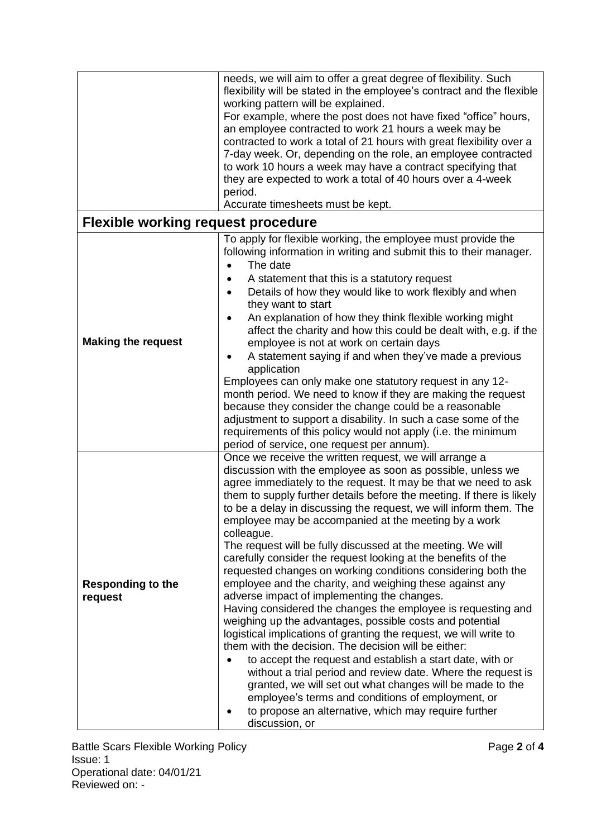|                                           | needs, we will aim to offer a great degree of flexibility. Such<br>flexibility will be stated in the employee's contract and the flexible<br>working pattern will be explained.<br>For example, where the post does not have fixed "office" hours,<br>an employee contracted to work 21 hours a week may be<br>contracted to work a total of 21 hours with great flexibility over a<br>7-day week. Or, depending on the role, an employee contracted<br>to work 10 hours a week may have a contract specifying that<br>they are expected to work a total of 40 hours over a 4-week<br>period.<br>Accurate timesheets must be kept.                                                                                                                                                                                                                                                                                                                                                                                                                                                                                                                                                                                                                                                                        |  |  |
|-------------------------------------------|-----------------------------------------------------------------------------------------------------------------------------------------------------------------------------------------------------------------------------------------------------------------------------------------------------------------------------------------------------------------------------------------------------------------------------------------------------------------------------------------------------------------------------------------------------------------------------------------------------------------------------------------------------------------------------------------------------------------------------------------------------------------------------------------------------------------------------------------------------------------------------------------------------------------------------------------------------------------------------------------------------------------------------------------------------------------------------------------------------------------------------------------------------------------------------------------------------------------------------------------------------------------------------------------------------------|--|--|
| <b>Flexible working request procedure</b> |                                                                                                                                                                                                                                                                                                                                                                                                                                                                                                                                                                                                                                                                                                                                                                                                                                                                                                                                                                                                                                                                                                                                                                                                                                                                                                           |  |  |
| <b>Making the request</b>                 | To apply for flexible working, the employee must provide the<br>following information in writing and submit this to their manager.<br>The date<br>A statement that this is a statutory request<br>Details of how they would like to work flexibly and when<br>$\bullet$<br>they want to start<br>An explanation of how they think flexible working might<br>$\bullet$<br>affect the charity and how this could be dealt with, e.g. if the<br>employee is not at work on certain days<br>A statement saying if and when they've made a previous<br>$\bullet$<br>application<br>Employees can only make one statutory request in any 12-<br>month period. We need to know if they are making the request<br>because they consider the change could be a reasonable<br>adjustment to support a disability. In such a case some of the<br>requirements of this policy would not apply (i.e. the minimum<br>period of service, one request per annum).                                                                                                                                                                                                                                                                                                                                                         |  |  |
| <b>Responding to the</b><br>request       | Once we receive the written request, we will arrange a<br>discussion with the employee as soon as possible, unless we<br>agree immediately to the request. It may be that we need to ask<br>them to supply further details before the meeting. If there is likely<br>to be a delay in discussing the request, we will inform them. The<br>employee may be accompanied at the meeting by a work<br>colleague.<br>The request will be fully discussed at the meeting. We will<br>carefully consider the request looking at the benefits of the<br>requested changes on working conditions considering both the<br>employee and the charity, and weighing these against any<br>adverse impact of implementing the changes.<br>Having considered the changes the employee is requesting and<br>weighing up the advantages, possible costs and potential<br>logistical implications of granting the request, we will write to<br>them with the decision. The decision will be either:<br>to accept the request and establish a start date, with or<br>without a trial period and review date. Where the request is<br>granted, we will set out what changes will be made to the<br>employee's terms and conditions of employment, or<br>to propose an alternative, which may require further<br>discussion, or |  |  |

Battle Scars Flexible Working Policy **Page 2** of 4 Issue: 1 Operational date: 04/01/21 Reviewed on: -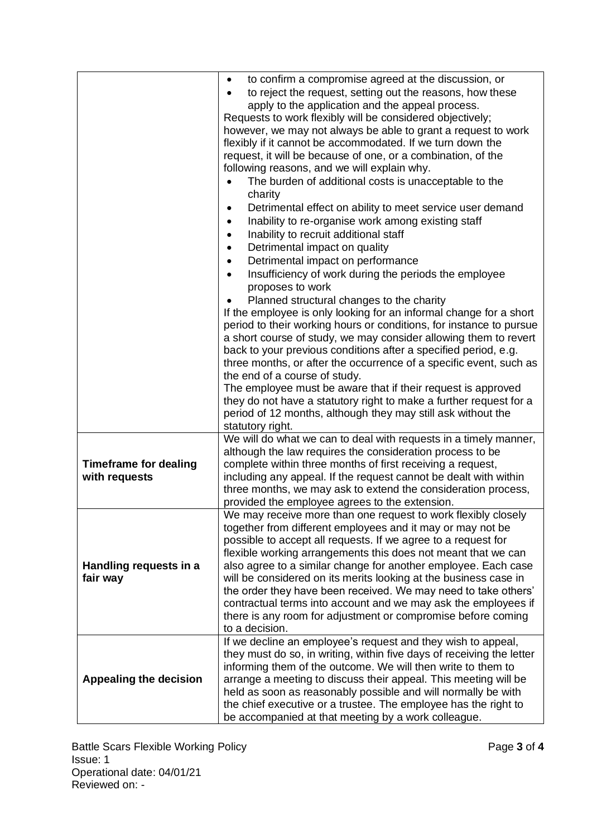|                                               | to confirm a compromise agreed at the discussion, or<br>$\bullet$<br>to reject the request, setting out the reasons, how these<br>$\bullet$<br>apply to the application and the appeal process.<br>Requests to work flexibly will be considered objectively;<br>however, we may not always be able to grant a request to work<br>flexibly if it cannot be accommodated. If we turn down the<br>request, it will be because of one, or a combination, of the<br>following reasons, and we will explain why.<br>The burden of additional costs is unacceptable to the<br>charity<br>Detrimental effect on ability to meet service user demand<br>$\bullet$<br>Inability to re-organise work among existing staff<br>$\bullet$<br>Inability to recruit additional staff<br>$\bullet$<br>Detrimental impact on quality<br>$\bullet$<br>Detrimental impact on performance<br>$\bullet$<br>Insufficiency of work during the periods the employee<br>$\bullet$<br>proposes to work<br>Planned structural changes to the charity<br>If the employee is only looking for an informal change for a short<br>period to their working hours or conditions, for instance to pursue<br>a short course of study, we may consider allowing them to revert<br>back to your previous conditions after a specified period, e.g.<br>three months, or after the occurrence of a specific event, such as<br>the end of a course of study.<br>The employee must be aware that if their request is approved<br>they do not have a statutory right to make a further request for a<br>period of 12 months, although they may still ask without the<br>statutory right. |
|-----------------------------------------------|-----------------------------------------------------------------------------------------------------------------------------------------------------------------------------------------------------------------------------------------------------------------------------------------------------------------------------------------------------------------------------------------------------------------------------------------------------------------------------------------------------------------------------------------------------------------------------------------------------------------------------------------------------------------------------------------------------------------------------------------------------------------------------------------------------------------------------------------------------------------------------------------------------------------------------------------------------------------------------------------------------------------------------------------------------------------------------------------------------------------------------------------------------------------------------------------------------------------------------------------------------------------------------------------------------------------------------------------------------------------------------------------------------------------------------------------------------------------------------------------------------------------------------------------------------------------------------------------------------------------------------------------------|
| <b>Timeframe for dealing</b><br>with requests | We will do what we can to deal with requests in a timely manner,<br>although the law requires the consideration process to be<br>complete within three months of first receiving a request,<br>including any appeal. If the request cannot be dealt with within<br>three months, we may ask to extend the consideration process,                                                                                                                                                                                                                                                                                                                                                                                                                                                                                                                                                                                                                                                                                                                                                                                                                                                                                                                                                                                                                                                                                                                                                                                                                                                                                                              |
| Handling requests in a<br>fair way            | provided the employee agrees to the extension.<br>We may receive more than one request to work flexibly closely<br>together from different employees and it may or may not be<br>possible to accept all requests. If we agree to a request for<br>flexible working arrangements this does not meant that we can<br>also agree to a similar change for another employee. Each case<br>will be considered on its merits looking at the business case in<br>the order they have been received. We may need to take others'<br>contractual terms into account and we may ask the employees if<br>there is any room for adjustment or compromise before coming<br>to a decision.                                                                                                                                                                                                                                                                                                                                                                                                                                                                                                                                                                                                                                                                                                                                                                                                                                                                                                                                                                   |
| <b>Appealing the decision</b>                 | If we decline an employee's request and they wish to appeal,<br>they must do so, in writing, within five days of receiving the letter<br>informing them of the outcome. We will then write to them to<br>arrange a meeting to discuss their appeal. This meeting will be<br>held as soon as reasonably possible and will normally be with<br>the chief executive or a trustee. The employee has the right to<br>be accompanied at that meeting by a work colleague.                                                                                                                                                                                                                                                                                                                                                                                                                                                                                                                                                                                                                                                                                                                                                                                                                                                                                                                                                                                                                                                                                                                                                                           |

Battle Scars Flexible Working Policy **Page 3** of 4 Issue: 1 Operational date: 04/01/21 Reviewed on: -